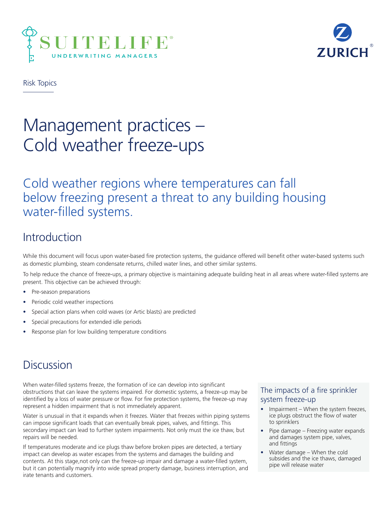



Risk Topics

# Management practices – Cold weather freeze-ups

### Cold weather regions where temperatures can fall below freezing present a threat to any building housing water-filled systems.

### Introduction

While this document will focus upon water-based fire protection systems, the guidance offered will benefit other water-based systems such as domestic plumbing, steam condensate returns, chilled water lines, and other similar systems.

To help reduce the chance of freeze-ups, a primary objective is maintaining adequate building heat in all areas where water-filled systems are present. This objective can be achieved through:

- Pre-season preparations
- Periodic cold weather inspections
- Special action plans when cold waves (or Artic blasts) are predicted
- Special precautions for extended idle periods
- Response plan for low building temperature conditions

### **Discussion**

When water-filled systems freeze, the formation of ice can develop into significant obstructions that can leave the systems impaired. For domestic systems, a freeze-up may be identified by a loss of water pressure or flow. For fire protection systems, the freeze-up may represent a hidden impairment that is not immediately apparent.

Water is unusual in that it expands when it freezes. Water that freezes within piping systems can impose significant loads that can eventually break pipes, valves, and fittings. This secondary impact can lead to further system impairments. Not only must the ice thaw, but repairs will be needed.

If temperatures moderate and ice plugs thaw before broken pipes are detected, a tertiary impact can develop as water escapes from the systems and damages the building and contents. At this stage,not only can the freeze-up impair and damage a water-filled system, but it can potentially magnify into wide spread property damage, business interruption, and irate tenants and customers.

### The impacts of a fire sprinkler system freeze-up

- Impairment When the system freezes, ice plugs obstruct the flow of water to sprinklers
- Pipe damage Freezing water expands and damages system pipe, valves, and fittings
- Water damage When the cold subsides and the ice thaws, damaged pipe will release water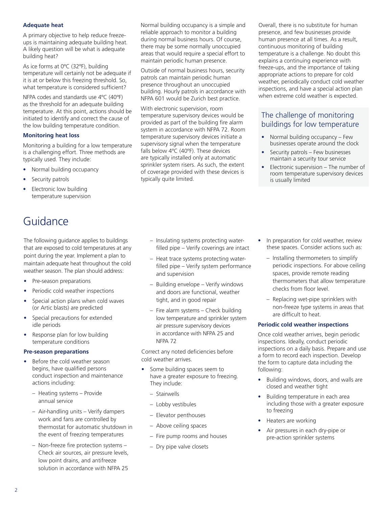#### **Adequate heat**

A primary objective to help reduce freezeups is maintaining adequate building heat. A likely question will be what is adequate building heat?

As ice forms at 0ºC (32ºF), building temperature will certainly not be adequate if it is at or below this freezing threshold. So, what temperature is considered sufficient?

NFPA codes and standards use 4ºC (40ºF) as the threshold for an adequate building temperature. At this point, actions should be initiated to identify and correct the cause of the low building temperature condition.

#### **Monitoring heat loss**

Monitoring a building for a low temperature is a challenging effort. Three methods are typically used. They include:

- Normal building occupancy
- Security patrols
- Electronic low building temperature supervision

## Guidance

The following guidance applies to buildings that are exposed to cold temperatures at any point during the year. Implement a plan to maintain adequate heat throughout the cold weather season. The plan should address:

- Pre-season preparations
- Periodic cold weather inspections
- Special action plans when cold waves (or Artic blasts) are predicted
- Special precautions for extended idle periods
- Response plan for low building temperature conditions

#### **Pre-season preparations**

- Before the cold weather season begins, have qualified persons conduct inspection and maintenance actions including:
	- Heating systems Provide annual service
	- Air-handling units Verify dampers work and fans are controlled by thermostat for automatic shutdown in the event of freezing temperatures
	- Non-freeze fire protection systems Check air sources, air pressure levels, low point drains, and antifreeze solution in accordance with NFPA 25

Normal building occupancy is a simple and reliable approach to monitor a building during normal business hours. Of course, there may be some normally unoccupied areas that would require a special effort to maintain periodic human presence.

Outside of normal business hours, security patrols can maintain periodic human presence throughout an unoccupied building. Hourly patrols in accordance with NFPA 601 would be Zurich best practice.

With electronic supervision, room temperature supervisory devices would be provided as part of the building fire alarm system in accordance with NFPA 72. Room temperature supervisory devices initiate a supervisory signal when the temperature falls below 4ºC (40ºF). These devices are typically installed only at automatic sprinkler system risers. As such, the extent of coverage provided with these devices is typically quite limited.

Overall, there is no substitute for human presence, and few businesses provide human presence at all times. As a result, continuous monitoring of building temperature is a challenge. No doubt this explains a continuing experience with freeze-ups, and the importance of taking appropriate actions to prepare for cold weather, periodically conduct cold weather inspections, and have a special action plan when extreme cold weather is expected.

### The challenge of monitoring buildings for low temperature

- Normal building occupancy Few businesses operate around the clock
- Security patrols Few businesses maintain a security tour service
- Electronic supervision The number of room temperature supervisory devices is usually limited

- Insulating systems protecting waterfilled pipe – Verify coverings are intact
- Heat trace systems protecting waterfilled pipe – Verify system performance and supervision
- Building envelope Verify windows and doors are functional, weather tight, and in good repair
- Fire alarm systems Check building low temperature and sprinkler system air pressure supervisory devices in accordance with NFPA 25 and NFPA 72

Correct any noted deficiencies before cold weather arrives.

- Some building spaces seem to have a greater exposure to freezing. They include:
	- Stairwells
	- Lobby vestibules
	- Elevator penthouses
	- Above ceiling spaces
	- Fire pump rooms and houses
	- Dry pipe valve closets
- In preparation for cold weather, review these spaces. Consider actions such as:
	- Installing thermometers to simplify periodic inspections. For above ceiling spaces, provide remote reading thermometers that allow temperature checks from floor level.
	- Replacing wet-pipe sprinklers with non-freeze type systems in areas that are difficult to heat.

#### **Periodic cold weather inspections**

Once cold weather arrives, begin periodic inspections. Ideally, conduct periodic inspections on a daily basis. Prepare and use a form to record each inspection. Develop the form to capture data including the following:

- Building windows, doors, and walls are closed and weather tight
- Building temperature in each area including those with a greater exposure to freezing
- Heaters are working
- Air pressures in each dry-pipe or pre-action sprinkler systems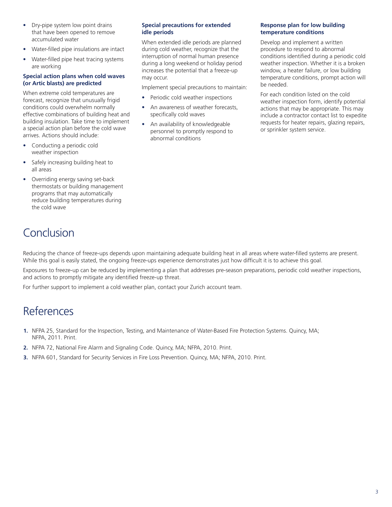- Dry-pipe system low point drains that have been opened to remove accumulated water
- Water-filled pipe insulations are intact
- Water-filled pipe heat tracing systems are working

#### **Special action plans when cold waves (or Artic blasts) are predicted**

When extreme cold temperatures are forecast, recognize that unusually frigid conditions could overwhelm normally effective combinations of building heat and building insulation. Take time to implement a special action plan before the cold wave arrives. Actions should include:

- Conducting a periodic cold weather inspection
- Safely increasing building heat to all areas
- Overriding energy saving set-back thermostats or building management programs that may automatically reduce building temperatures during the cold wave

# Conclusion

#### **Special precautions for extended idle periods**

When extended idle periods are planned during cold weather, recognize that the interruption of normal human presence during a long weekend or holiday period increases the potential that a freeze-up may occur.

Implement special precautions to maintain:

- Periodic cold weather inspections
- An awareness of weather forecasts, specifically cold waves
- An availability of knowledgeable personnel to promptly respond to abnormal conditions

#### **Response plan for low building temperature conditions**

Develop and implement a written procedure to respond to abnormal conditions identified during a periodic cold weather inspection. Whether it is a broken window, a heater failure, or low building temperature conditions, prompt action will be needed.

For each condition listed on the cold weather inspection form, identify potential actions that may be appropriate. This may include a contractor contact list to expedite requests for heater repairs, glazing repairs, or sprinkler system service.

Reducing the chance of freeze-ups depends upon maintaining adequate building heat in all areas where water-filled systems are present. While this goal is easily stated, the ongoing freeze-ups experience demonstrates just how difficult it is to achieve this goal.

Exposures to freeze-up can be reduced by implementing a plan that addresses pre-season preparations, periodic cold weather inspections, and actions to promptly mitigate any identified freeze-up threat.

For further support to implement a cold weather plan, contact your Zurich account team.

### References

- **1.** NFPA 25, Standard for the Inspection, Testing, and Maintenance of Water-Based Fire Protection Systems. Quincy, MA; NFPA, 2011. Print.
- **2.** NFPA 72, National Fire Alarm and Signaling Code. Quincy, MA; NFPA, 2010. Print.
- **3.** NFPA 601, Standard for Security Services in Fire Loss Prevention. Quincy, MA; NFPA, 2010. Print.